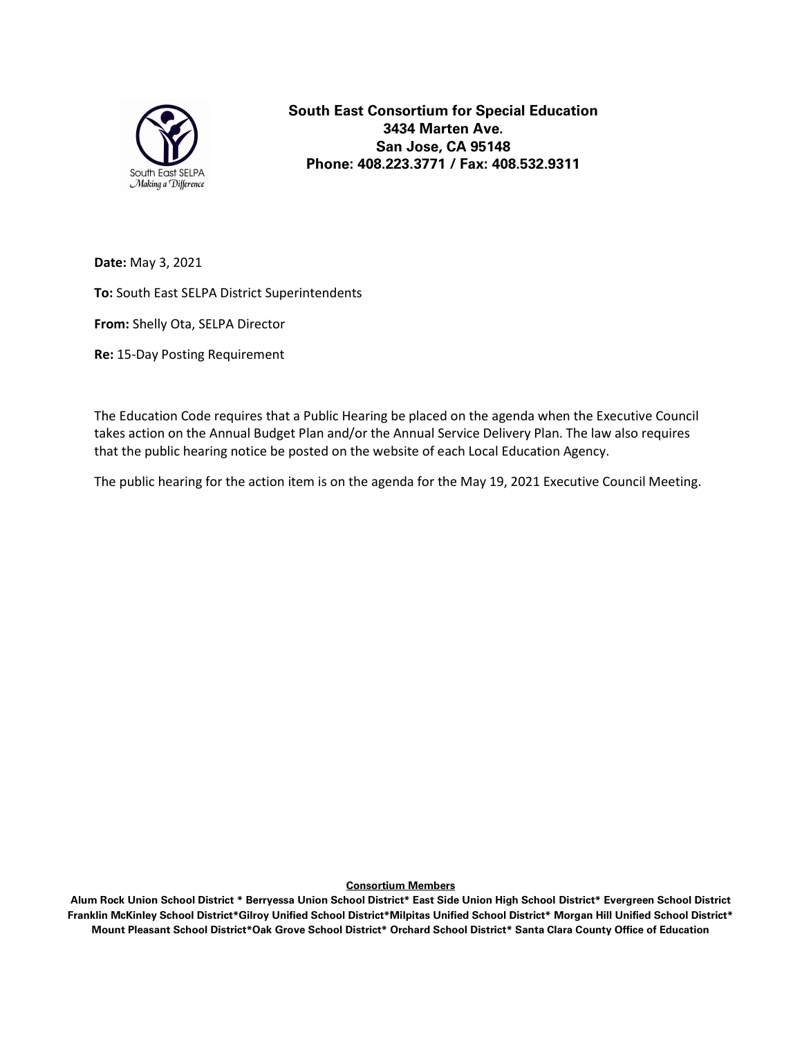

South East Consortium for Special Education 3434 Marten Ave. San Jose, CA 95148 Phone: 408.223.3771 / Fax: 408.532.9311

Date: May 3, 2021

To: South East SELPA District Superintendents

From: Shelly Ota, SELPA Director

Re: 15-Day Posting Requirement

The Education Code requires that a Public Hearing be placed on the agenda when the Executive Council takes action on the Annual Budget Plan and/or the Annual Service Delivery Plan. The law also requires that the public hearing notice be posted on the website of each Local Education Agency.

The public hearing for the action item is on the agenda for the May 19, 2021 Executive Council Meeting.

Consortium Members

Alum Rock Union School District \* Berryessa Union School District\* East Side Union High School District\* Evergreen School District Franklin McKinley School District\*Gilroy Unified School District\*Milpitas Unified School District\* Morgan Hill Unified School District\* Mount Pleasant School District\*Oak Grove School District\* Orchard School District\* Santa Clara County Office of Education